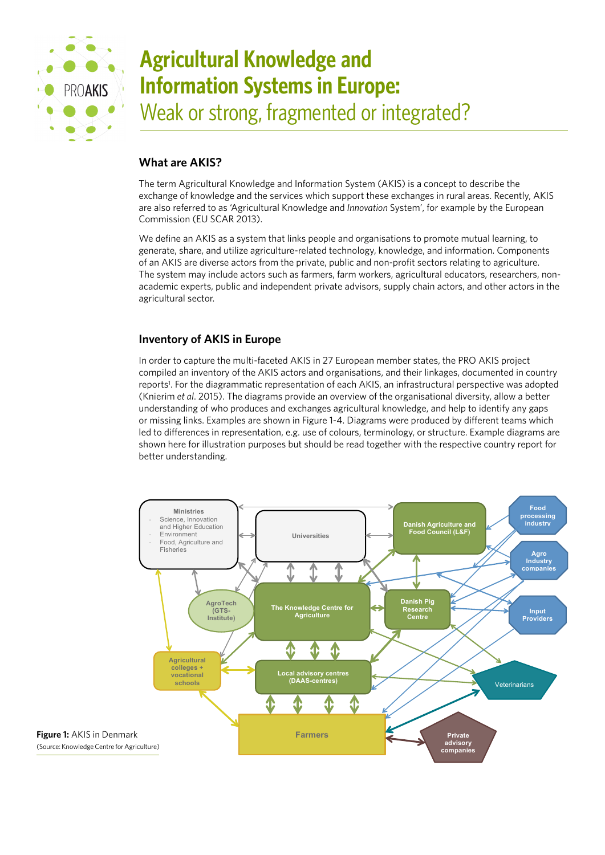

# **Agricultural Knowledge and Information Systems in Europe:**  Weak or strong, fragmented or integrated?

# **What are AKIS?**

The term Agricultural Knowledge and Information System (AKIS) is a concept to describe the exchange of knowledge and the services which support these exchanges in rural areas. Recently, AKIS are also referred to as 'Agricultural Knowledge and *Innovation* System', for example by the European Commission (EU SCAR 2013).

We define an AKIS as a system that links people and organisations to promote mutual learning, to generate, share, and utilize agriculture-related technology, knowledge, and information. Components of an AKIS are diverse actors from the private, public and non-profit sectors relating to agriculture. The system may include actors such as farmers, farm workers, agricultural educators, researchers, nonacademic experts, public and independent private advisors, supply chain actors, and other actors in the agricultural sector.

## **Inventory of AKIS in Europe**

In order to capture the multi-faceted AKIS in 27 European member states, the PRO AKIS project compiled an inventory of the AKIS actors and organisations, and their linkages, documented in country reports1 . For the diagrammatic representation of each AKIS, an infrastructural perspective was adopted (Knierim *et al*. 2015). The diagrams provide an overview of the organisational diversity, allow a better understanding of who produces and exchanges agricultural knowledge, and help to identify any gaps or missing links. Examples are shown in Figure 1-4. Diagrams were produced by different teams which led to differences in representation, e.g. use of colours, terminology, or structure. Example diagrams are shown here for illustration purposes but should be read together with the respective country report for better understanding.

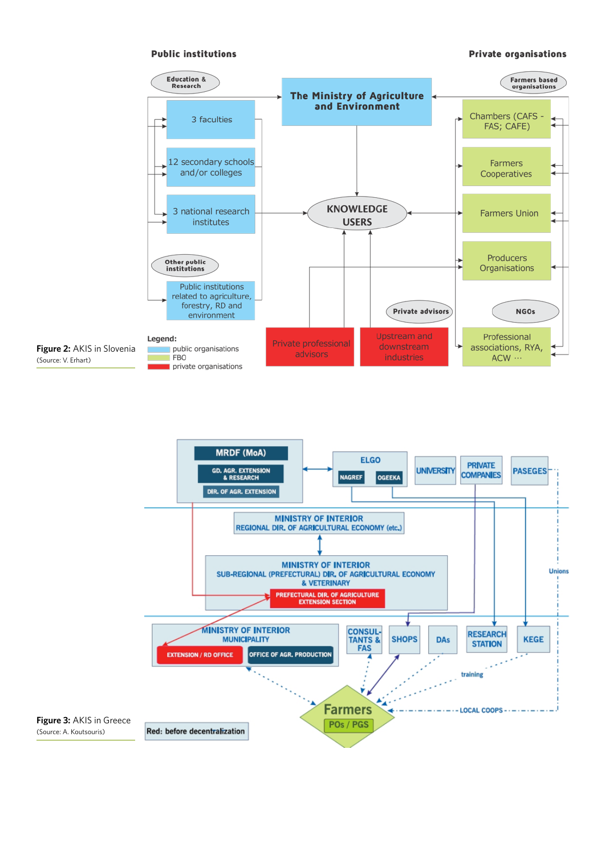## **Public institutions**

## **Private organisations**



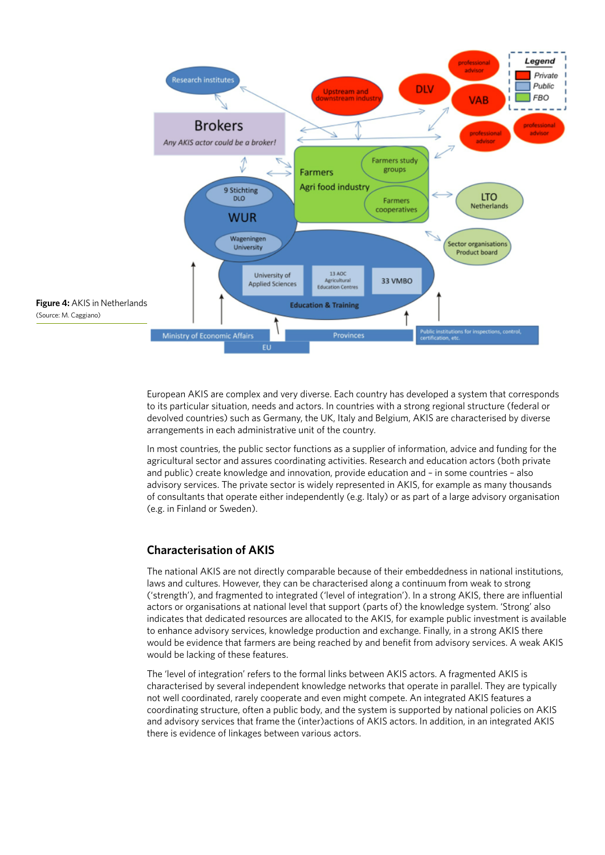

European AKIS are complex and very diverse. Each country has developed a system that corresponds to its particular situation, needs and actors. In countries with a strong regional structure (federal or devolved countries) such as Germany, the UK, Italy and Belgium, AKIS are characterised by diverse arrangements in each administrative unit of the country.

In most countries, the public sector functions as a supplier of information, advice and funding for the agricultural sector and assures coordinating activities. Research and education actors (both private and public) create knowledge and innovation, provide education and – in some countries – also advisory services. The private sector is widely represented in AKIS, for example as many thousands of consultants that operate either independently (e.g. Italy) or as part of a large advisory organisation (e.g. in Finland or Sweden).

## **Characterisation of AKIS**

The national AKIS are not directly comparable because of their embeddedness in national institutions, laws and cultures. However, they can be characterised along a continuum from weak to strong ('strength'), and fragmented to integrated ('level of integration'). In a strong AKIS, there are influential actors or organisations at national level that support (parts of) the knowledge system. 'Strong' also indicates that dedicated resources are allocated to the AKIS, for example public investment is available to enhance advisory services, knowledge production and exchange. Finally, in a strong AKIS there would be evidence that farmers are being reached by and benefit from advisory services. A weak AKIS would be lacking of these features.

The 'level of integration' refers to the formal links between AKIS actors. A fragmented AKIS is characterised by several independent knowledge networks that operate in parallel. They are typically not well coordinated, rarely cooperate and even might compete. An integrated AKIS features a coordinating structure, often a public body, and the system is supported by national policies on AKIS and advisory services that frame the (inter)actions of AKIS actors. In addition, in an integrated AKIS there is evidence of linkages between various actors.